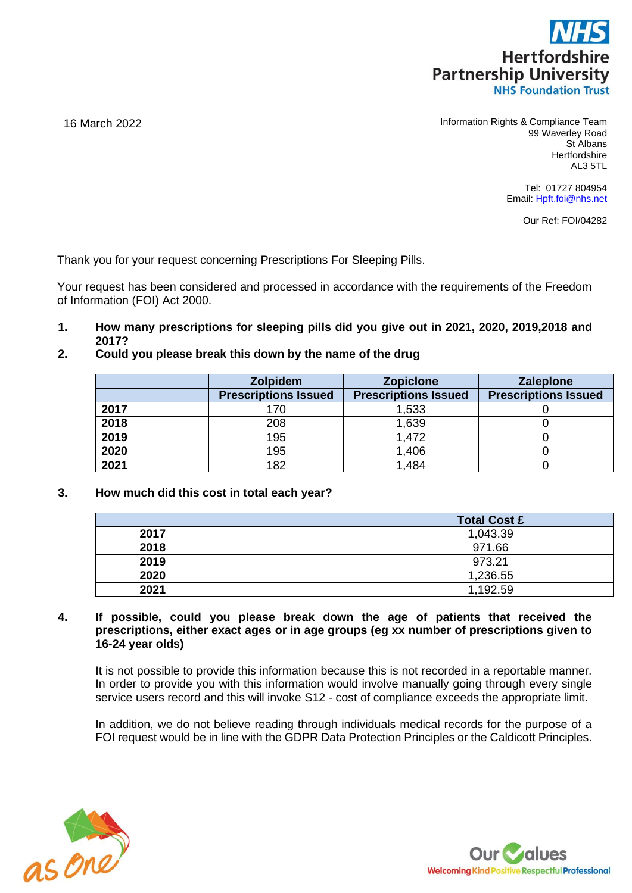

16 March 2022 Information Rights & Compliance Team 99 Waverley Road St Albans **Hertfordshire** AL3 5TL

> Tel: 01727 804954 Email: [Hpft.foi@nhs.net](mailto:Hpft.foi@nhs.net)

> > Our Ref: FOI/04282

Thank you for your request concerning Prescriptions For Sleeping Pills.

Your request has been considered and processed in accordance with the requirements of the Freedom of Information (FOI) Act 2000.

- **1. How many prescriptions for sleeping pills did you give out in 2021, 2020, 2019,2018 and 2017?**
- **2. Could you please break this down by the name of the drug**

|      | <b>Zolpidem</b>             | <b>Zopiclone</b>            | <b>Zaleplone</b>            |
|------|-----------------------------|-----------------------------|-----------------------------|
|      | <b>Prescriptions Issued</b> | <b>Prescriptions Issued</b> | <b>Prescriptions Issued</b> |
| 2017 | 170                         | 1,533                       |                             |
| 2018 | 208                         | 1,639                       |                             |
| 2019 | 195                         | 1,472                       |                             |
| 2020 | 195                         | 1,406                       |                             |
| 2021 | 182                         | 1,484                       |                             |

**3. How much did this cost in total each year?**

|      | <b>Total Cost £</b> |  |
|------|---------------------|--|
| 2017 | 1,043.39            |  |
| 2018 | 971.66              |  |
| 2019 | 973.21              |  |
| 2020 | 1,236.55            |  |
| 2021 | 1,192.59            |  |

**4. If possible, could you please break down the age of patients that received the prescriptions, either exact ages or in age groups (eg xx number of prescriptions given to 16-24 year olds)**

It is not possible to provide this information because this is not recorded in a reportable manner. In order to provide you with this information would involve manually going through every single service users record and this will invoke S12 - cost of compliance exceeds the appropriate limit.

In addition, we do not believe reading through individuals medical records for the purpose of a FOI request would be in line with the GDPR Data Protection Principles or the Caldicott Principles.